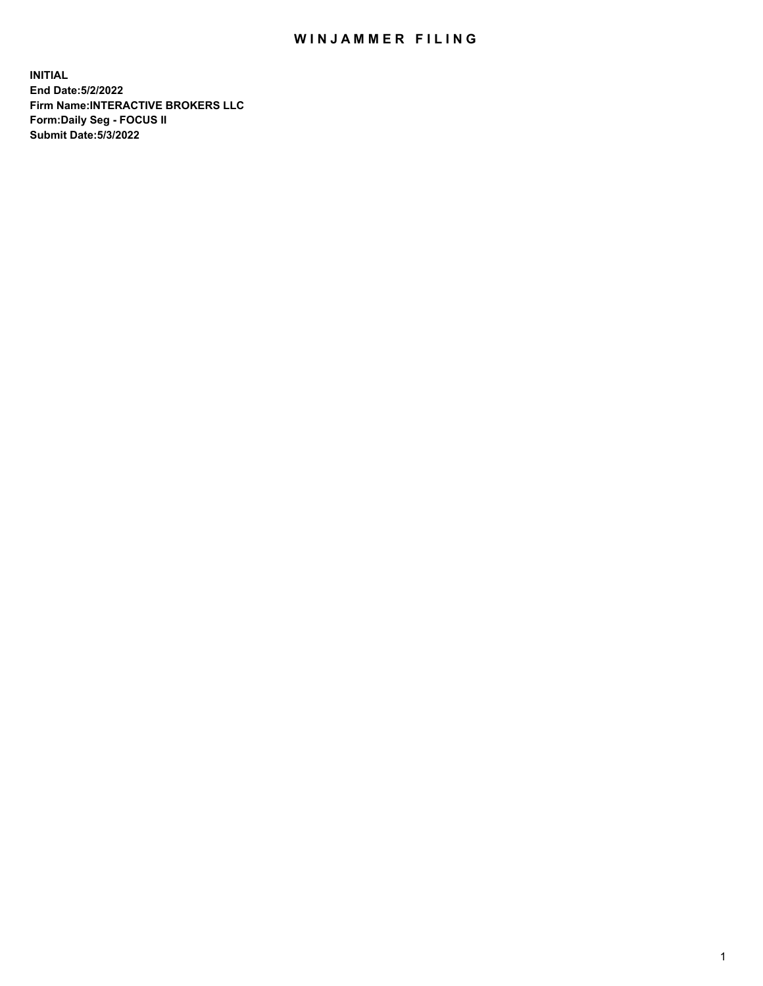## WIN JAMMER FILING

**INITIAL End Date:5/2/2022 Firm Name:INTERACTIVE BROKERS LLC Form:Daily Seg - FOCUS II Submit Date:5/3/2022**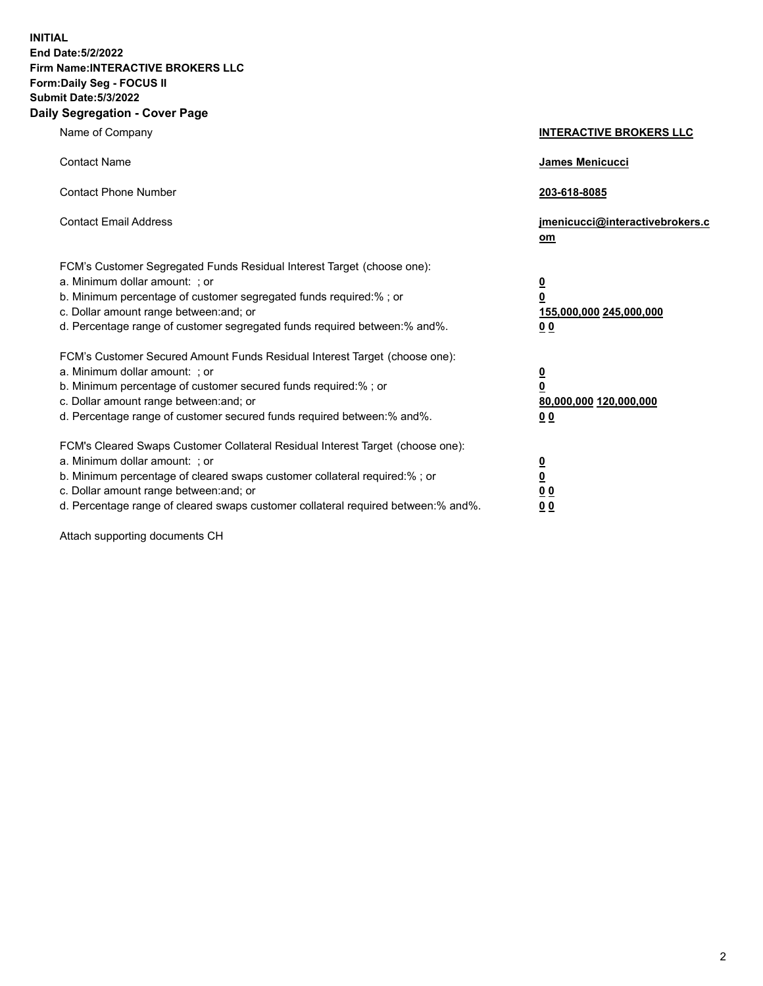**INITIAL End Date:5/2/2022 Firm Name:INTERACTIVE BROKERS LLC Form:Daily Seg - FOCUS II Submit Date:5/3/2022 Daily Segregation - Cover Page**

| Name of Company                                                                                                                                                                                                                                                                                                                | <b>INTERACTIVE BROKERS LLC</b>                                                                 |
|--------------------------------------------------------------------------------------------------------------------------------------------------------------------------------------------------------------------------------------------------------------------------------------------------------------------------------|------------------------------------------------------------------------------------------------|
| <b>Contact Name</b>                                                                                                                                                                                                                                                                                                            | James Menicucci                                                                                |
| <b>Contact Phone Number</b>                                                                                                                                                                                                                                                                                                    | 203-618-8085                                                                                   |
| <b>Contact Email Address</b>                                                                                                                                                                                                                                                                                                   | jmenicucci@interactivebrokers.c<br>om                                                          |
| FCM's Customer Segregated Funds Residual Interest Target (choose one):<br>a. Minimum dollar amount: ; or<br>b. Minimum percentage of customer segregated funds required:%; or<br>c. Dollar amount range between: and; or<br>d. Percentage range of customer segregated funds required between:% and%.                          | $\overline{\mathbf{0}}$<br>$\overline{\mathbf{0}}$<br>155,000,000 245,000,000<br>00            |
| FCM's Customer Secured Amount Funds Residual Interest Target (choose one):<br>a. Minimum dollar amount: ; or<br>b. Minimum percentage of customer secured funds required:% ; or<br>c. Dollar amount range between: and; or<br>d. Percentage range of customer secured funds required between:% and%.                           | $\overline{\mathbf{0}}$<br>$\overline{\mathbf{0}}$<br>80,000,000 120,000,000<br>0 <sub>0</sub> |
| FCM's Cleared Swaps Customer Collateral Residual Interest Target (choose one):<br>a. Minimum dollar amount: ; or<br>b. Minimum percentage of cleared swaps customer collateral required:% ; or<br>c. Dollar amount range between: and; or<br>d. Percentage range of cleared swaps customer collateral required between:% and%. | <u>0</u><br><u>0</u><br>0 <sub>0</sub><br>0 <sub>0</sub>                                       |

Attach supporting documents CH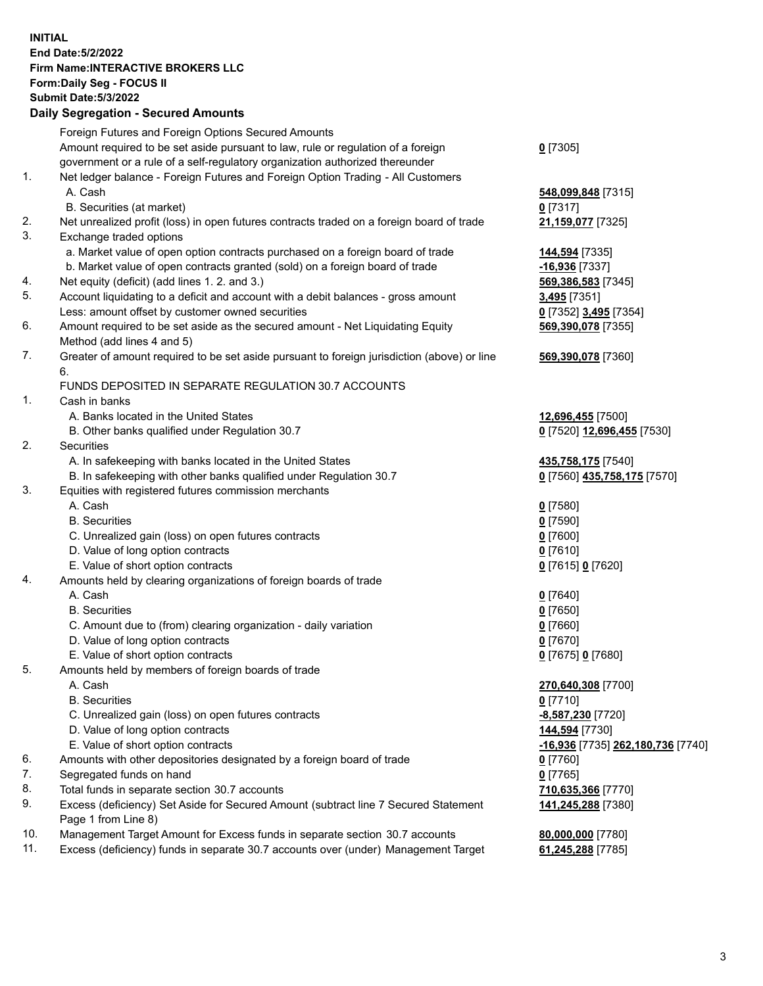**INITIAL End Date:5/2/2022 Firm Name:INTERACTIVE BROKERS LLC Form:Daily Seg - FOCUS II Submit Date:5/3/2022 Daily Segregation - Secured Amounts**

|     | Foreign Futures and Foreign Options Secured Amounts                                         |                                   |
|-----|---------------------------------------------------------------------------------------------|-----------------------------------|
|     | Amount required to be set aside pursuant to law, rule or regulation of a foreign            | $0$ [7305]                        |
|     | government or a rule of a self-regulatory organization authorized thereunder                |                                   |
| 1.  | Net ledger balance - Foreign Futures and Foreign Option Trading - All Customers             |                                   |
|     | A. Cash                                                                                     | 548,099,848 [7315]                |
|     | B. Securities (at market)                                                                   | $0$ [7317]                        |
| 2.  | Net unrealized profit (loss) in open futures contracts traded on a foreign board of trade   | 21,159,077 [7325]                 |
| 3.  | Exchange traded options                                                                     |                                   |
|     | a. Market value of open option contracts purchased on a foreign board of trade              | 144,594 [7335]                    |
|     | b. Market value of open contracts granted (sold) on a foreign board of trade                | -16,936 [7337]                    |
| 4.  | Net equity (deficit) (add lines 1. 2. and 3.)                                               | 569,386,583 [7345]                |
| 5.  | Account liquidating to a deficit and account with a debit balances - gross amount           | 3,495 [7351]                      |
|     | Less: amount offset by customer owned securities                                            | 0 [7352] 3,495 [7354]             |
| 6.  | Amount required to be set aside as the secured amount - Net Liquidating Equity              | 569,390,078 [7355]                |
|     | Method (add lines 4 and 5)                                                                  |                                   |
| 7.  | Greater of amount required to be set aside pursuant to foreign jurisdiction (above) or line | 569,390,078 [7360]                |
|     | 6.                                                                                          |                                   |
|     | FUNDS DEPOSITED IN SEPARATE REGULATION 30.7 ACCOUNTS                                        |                                   |
| 1.  | Cash in banks                                                                               |                                   |
|     | A. Banks located in the United States                                                       | 12,696,455 [7500]                 |
|     | B. Other banks qualified under Regulation 30.7                                              | 0 [7520] 12,696,455 [7530]        |
| 2.  | Securities                                                                                  |                                   |
|     | A. In safekeeping with banks located in the United States                                   | 435,758,175 [7540]                |
|     | B. In safekeeping with other banks qualified under Regulation 30.7                          | 0 [7560] 435,758,175 [7570]       |
| 3.  | Equities with registered futures commission merchants                                       |                                   |
|     | A. Cash                                                                                     | $0$ [7580]                        |
|     | <b>B.</b> Securities                                                                        | $0$ [7590]                        |
|     | C. Unrealized gain (loss) on open futures contracts                                         | $0$ [7600]                        |
|     | D. Value of long option contracts                                                           | $0$ [7610]                        |
|     | E. Value of short option contracts                                                          | 0 [7615] 0 [7620]                 |
| 4.  | Amounts held by clearing organizations of foreign boards of trade                           |                                   |
|     | A. Cash                                                                                     | $0$ [7640]                        |
|     | <b>B.</b> Securities                                                                        | $0$ [7650]                        |
|     | C. Amount due to (from) clearing organization - daily variation                             | $0$ [7660]                        |
|     | D. Value of long option contracts                                                           | $0$ [7670]                        |
|     | E. Value of short option contracts                                                          | 0 [7675] 0 [7680]                 |
| 5.  | Amounts held by members of foreign boards of trade                                          |                                   |
|     | A. Cash                                                                                     | 270,640,308 [7700]                |
|     | <b>B.</b> Securities                                                                        | $0$ [7710]                        |
|     | C. Unrealized gain (loss) on open futures contracts                                         | -8,587,230 [7720]                 |
|     | D. Value of long option contracts                                                           | 144,594 [7730]                    |
|     | E. Value of short option contracts                                                          | -16,936 [7735] 262,180,736 [7740] |
| 6.  | Amounts with other depositories designated by a foreign board of trade                      | $0$ [7760]                        |
| 7.  | Segregated funds on hand                                                                    | $0$ [7765]                        |
| 8.  | Total funds in separate section 30.7 accounts                                               | 710,635,366 [7770]                |
| 9.  | Excess (deficiency) Set Aside for Secured Amount (subtract line 7 Secured Statement         | 141,245,288 [7380]                |
|     | Page 1 from Line 8)                                                                         |                                   |
| 10. | Management Target Amount for Excess funds in separate section 30.7 accounts                 | 80,000,000 [7780]                 |
| 11. | Excess (deficiency) funds in separate 30.7 accounts over (under) Management Target          | 61,245,288 [7785]                 |
|     |                                                                                             |                                   |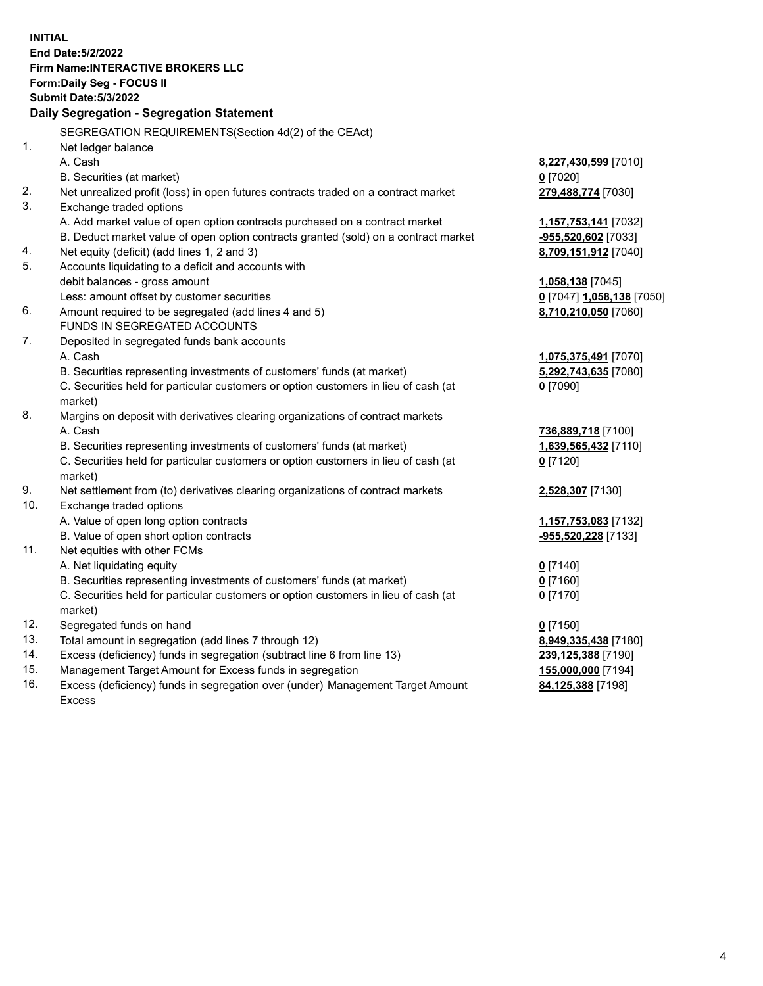**INITIAL End Date:5/2/2022 Firm Name:INTERACTIVE BROKERS LLC Form:Daily Seg - FOCUS II Submit Date:5/3/2022 Daily Segregation - Segregation Statement** SEGREGATION REQUIREMENTS(Section 4d(2) of the CEAct) 1. Net ledger balance A. Cash **8,227,430,599** [7010] B. Securities (at market) **0** [7020] 2. Net unrealized profit (loss) in open futures contracts traded on a contract market **279,488,774** [7030] 3. Exchange traded options A. Add market value of open option contracts purchased on a contract market **1,157,753,141** [7032] B. Deduct market value of open option contracts granted (sold) on a contract market **-955,520,602** [7033] 4. Net equity (deficit) (add lines 1, 2 and 3) **8,709,151,912** [7040] 5. Accounts liquidating to a deficit and accounts with debit balances - gross amount **1,058,138** [7045] Less: amount offset by customer securities **0** [7047] **1,058,138** [7050] 6. Amount required to be segregated (add lines 4 and 5) **8,710,210,050** [7060] FUNDS IN SEGREGATED ACCOUNTS 7. Deposited in segregated funds bank accounts A. Cash **1,075,375,491** [7070] B. Securities representing investments of customers' funds (at market) **5,292,743,635** [7080] C. Securities held for particular customers or option customers in lieu of cash (at market) **0** [7090] 8. Margins on deposit with derivatives clearing organizations of contract markets A. Cash **736,889,718** [7100] B. Securities representing investments of customers' funds (at market) **1,639,565,432** [7110] C. Securities held for particular customers or option customers in lieu of cash (at market) **0** [7120] 9. Net settlement from (to) derivatives clearing organizations of contract markets **2,528,307** [7130] 10. Exchange traded options A. Value of open long option contracts **1,157,753,083** [7132] B. Value of open short option contracts **-955,520,228** [7133] 11. Net equities with other FCMs A. Net liquidating equity **0** [7140] B. Securities representing investments of customers' funds (at market) **0** [7160] C. Securities held for particular customers or option customers in lieu of cash (at market) **0** [7170] 12. Segregated funds on hand **0** [7150] 13. Total amount in segregation (add lines 7 through 12) **8,949,335,438** [7180] 14. Excess (deficiency) funds in segregation (subtract line 6 from line 13) **239,125,388** [7190] 15. Management Target Amount for Excess funds in segregation **155,000,000** [7194] 16. Excess (deficiency) funds in segregation over (under) Management Target Amount **84,125,388** [7198]

Excess